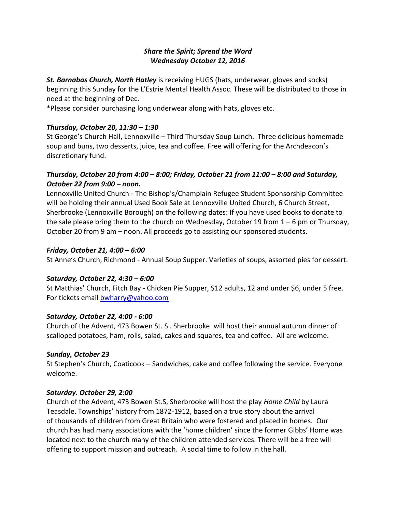# *Share the Spirit; Spread the Word Wednesday October 12, 2016*

*St. Barnabas Church, North Hatley* is receiving HUGS (hats, underwear, gloves and socks) beginning this Sunday for the L'Estrie Mental Health Assoc. These will be distributed to those in need at the beginning of Dec.

\*Please consider purchasing long underwear along with hats, gloves etc.

## *Thursday, October 20, 11:30 – 1:30*

St George's Church Hall, Lennoxville – Third Thursday Soup Lunch. Three delicious homemade soup and buns, two desserts, juice, tea and coffee. Free will offering for the Archdeacon's discretionary fund.

# *Thursday, October 20 from 4:00 – 8:00; Friday, October 21 from 11:00 – 8:00 and Saturday, October 22 from 9:00 – noon.*

Lennoxville United Church - The Bishop's/Champlain Refugee Student Sponsorship Committee will be holding their annual Used Book Sale at Lennoxville United Church, 6 Church Street, Sherbrooke (Lennoxville Borough) on the following dates: If you have used books to donate to the sale please bring them to the church on Wednesday, October 19 from  $1 - 6$  pm or Thursday, October 20 from 9 am – noon. All proceeds go to assisting our sponsored students.

## *Friday, October 21, 4:00 – 6:00*

St Anne's Church, Richmond - Annual Soup Supper. Varieties of soups, assorted pies for dessert.

### *Saturday, October 22, 4:30 – 6:00*

St Matthias' Church, Fitch Bay - Chicken Pie Supper, \$12 adults, 12 and under \$6, under 5 free. For tickets email **bwharry@yahoo.com** 

### *Saturday, October 22, 4:00 - 6:00*

Church of the Advent, 473 Bowen St. S . Sherbrooke will host their annual autumn dinner of scalloped potatoes, ham, rolls, salad, cakes and squares, tea and coffee. All are welcome.

### *Sunday, October 23*

St Stephen's Church, Coaticook – Sandwiches, cake and coffee following the service. Everyone welcome.

### *Saturday. October 29, 2:00*

Church of the Advent, 473 Bowen St.S, Sherbrooke will host the play *Home Child* by Laura Teasdale. Townships' history from 1872-1912, based on a true story about the arrival of thousands of children from Great Britain who were fostered and placed in homes. Our church has had many associations with the 'home children' since the former Gibbs' Home was located next to the church many of the children attended services. There will be a free will offering to support mission and outreach. A social time to follow in the hall.